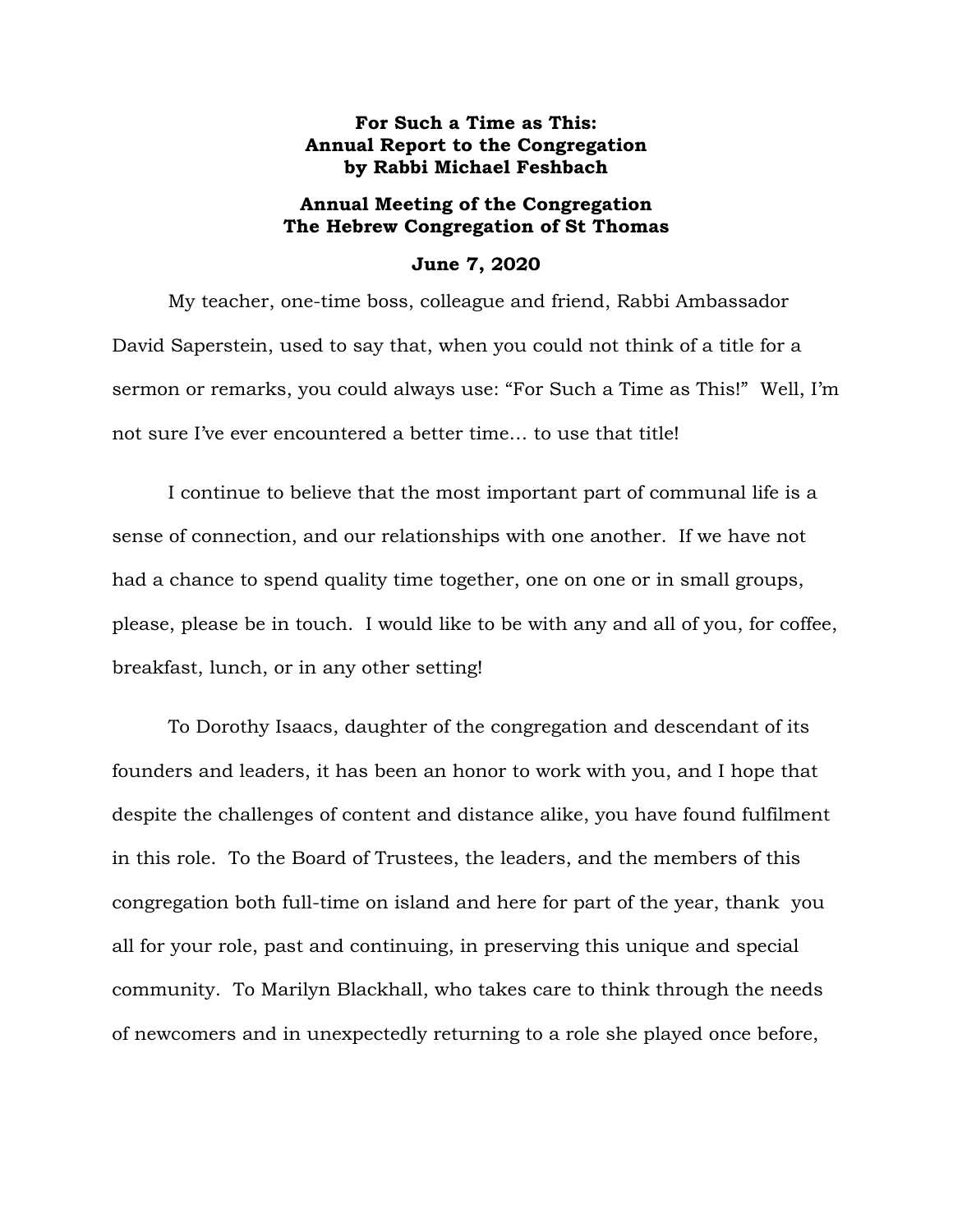## **For Such a Time as This: Annual Report to the Congregation by Rabbi Michael Feshbach**

## **Annual Meeting of the Congregation The Hebrew Congregation of St Thomas**

## **June 7, 2020**

My teacher, one-time boss, colleague and friend, Rabbi Ambassador David Saperstein, used to say that, when you could not think of a title for a sermon or remarks, you could always use: "For Such a Time as This!" Well, I'm not sure I've ever encountered a better time… to use that title!

I continue to believe that the most important part of communal life is a sense of connection, and our relationships with one another. If we have not had a chance to spend quality time together, one on one or in small groups, please, please be in touch. I would like to be with any and all of you, for coffee, breakfast, lunch, or in any other setting!

To Dorothy Isaacs, daughter of the congregation and descendant of its founders and leaders, it has been an honor to work with you, and I hope that despite the challenges of content and distance alike, you have found fulfilment in this role. To the Board of Trustees, the leaders, and the members of this congregation both full-time on island and here for part of the year, thank you all for your role, past and continuing, in preserving this unique and special community. To Marilyn Blackhall, who takes care to think through the needs of newcomers and in unexpectedly returning to a role she played once before,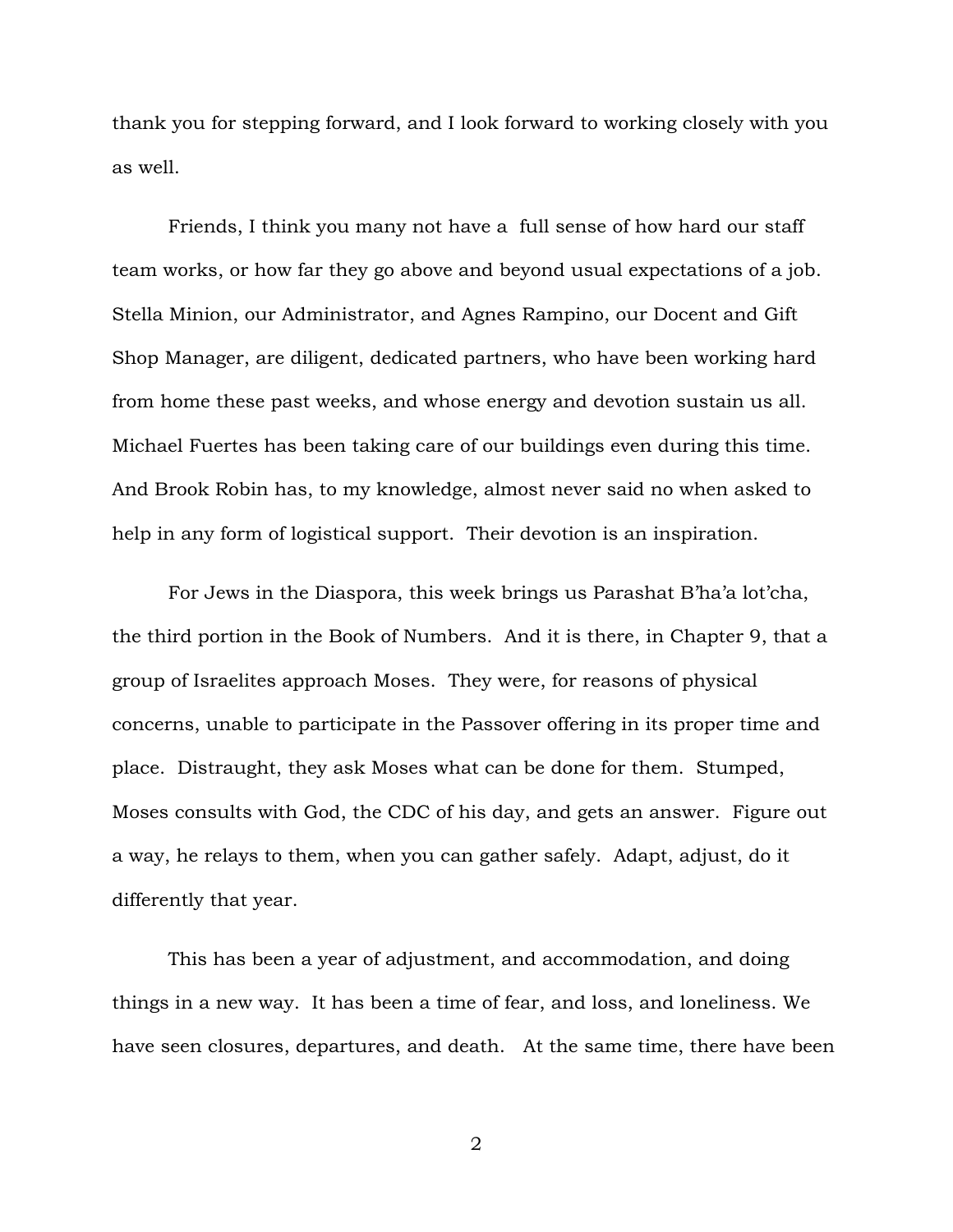thank you for stepping forward, and I look forward to working closely with you as well.

Friends, I think you many not have a full sense of how hard our staff team works, or how far they go above and beyond usual expectations of a job. Stella Minion, our Administrator, and Agnes Rampino, our Docent and Gift Shop Manager, are diligent, dedicated partners, who have been working hard from home these past weeks, and whose energy and devotion sustain us all. Michael Fuertes has been taking care of our buildings even during this time. And Brook Robin has, to my knowledge, almost never said no when asked to help in any form of logistical support. Their devotion is an inspiration.

For Jews in the Diaspora, this week brings us Parashat B'ha'a lot'cha, the third portion in the Book of Numbers. And it is there, in Chapter 9, that a group of Israelites approach Moses. They were, for reasons of physical concerns, unable to participate in the Passover offering in its proper time and place. Distraught, they ask Moses what can be done for them. Stumped, Moses consults with God, the CDC of his day, and gets an answer. Figure out a way, he relays to them, when you can gather safely. Adapt, adjust, do it differently that year.

This has been a year of adjustment, and accommodation, and doing things in a new way. It has been a time of fear, and loss, and loneliness. We have seen closures, departures, and death. At the same time, there have been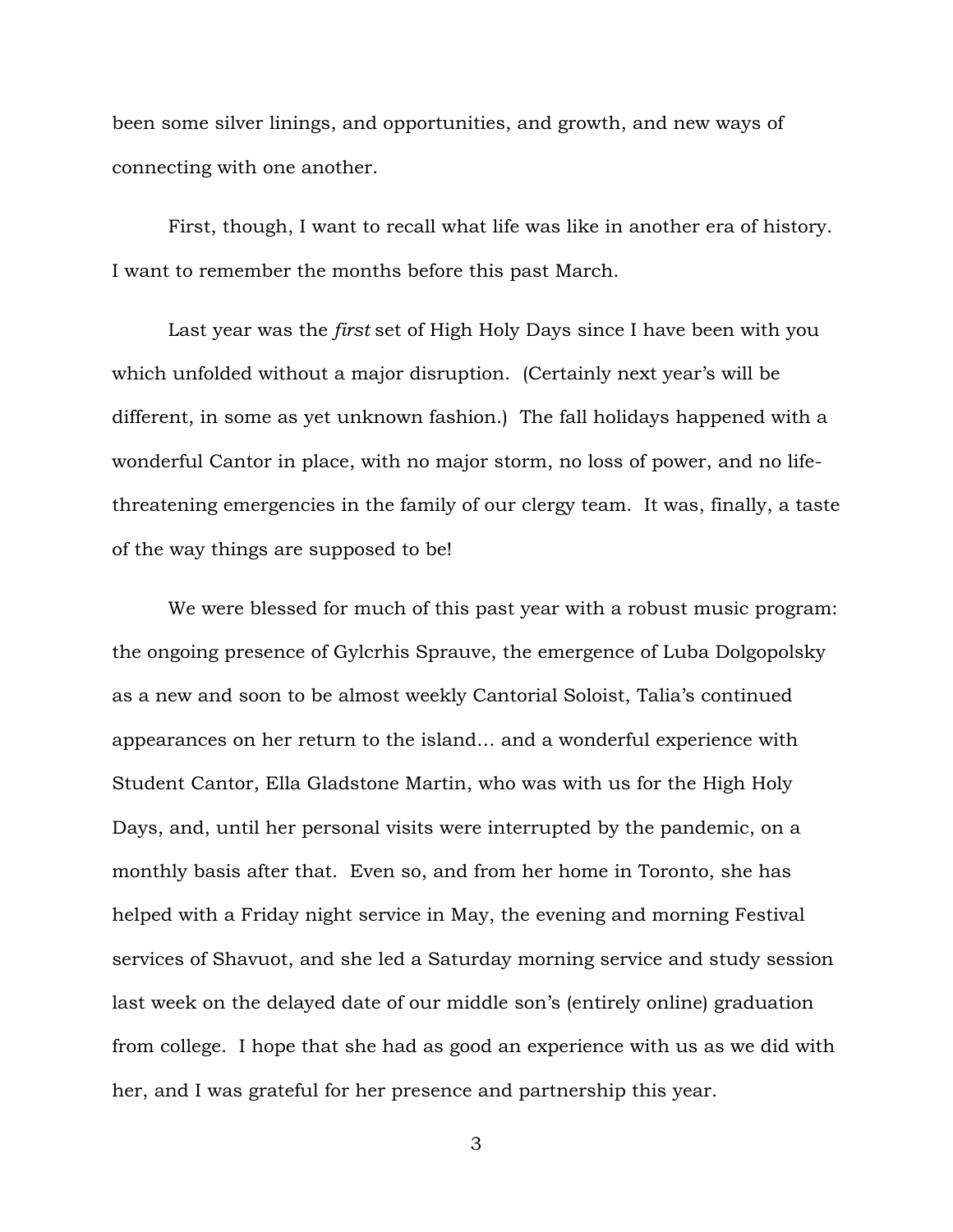been some silver linings, and opportunities, and growth, and new ways of connecting with one another.

First, though, I want to recall what life was like in another era of history. I want to remember the months before this past March.

Last year was the *first* set of High Holy Days since I have been with you which unfolded without a major disruption. (Certainly next year's will be different, in some as yet unknown fashion.) The fall holidays happened with a wonderful Cantor in place, with no major storm, no loss of power, and no lifethreatening emergencies in the family of our clergy team. It was, finally, a taste of the way things are supposed to be!

We were blessed for much of this past year with a robust music program: the ongoing presence of Gylcrhis Sprauve, the emergence of Luba Dolgopolsky as a new and soon to be almost weekly Cantorial Soloist, Talia's continued appearances on her return to the island… and a wonderful experience with Student Cantor, Ella Gladstone Martin, who was with us for the High Holy Days, and, until her personal visits were interrupted by the pandemic, on a monthly basis after that. Even so, and from her home in Toronto, she has helped with a Friday night service in May, the evening and morning Festival services of Shavuot, and she led a Saturday morning service and study session last week on the delayed date of our middle son's (entirely online) graduation from college. I hope that she had as good an experience with us as we did with her, and I was grateful for her presence and partnership this year.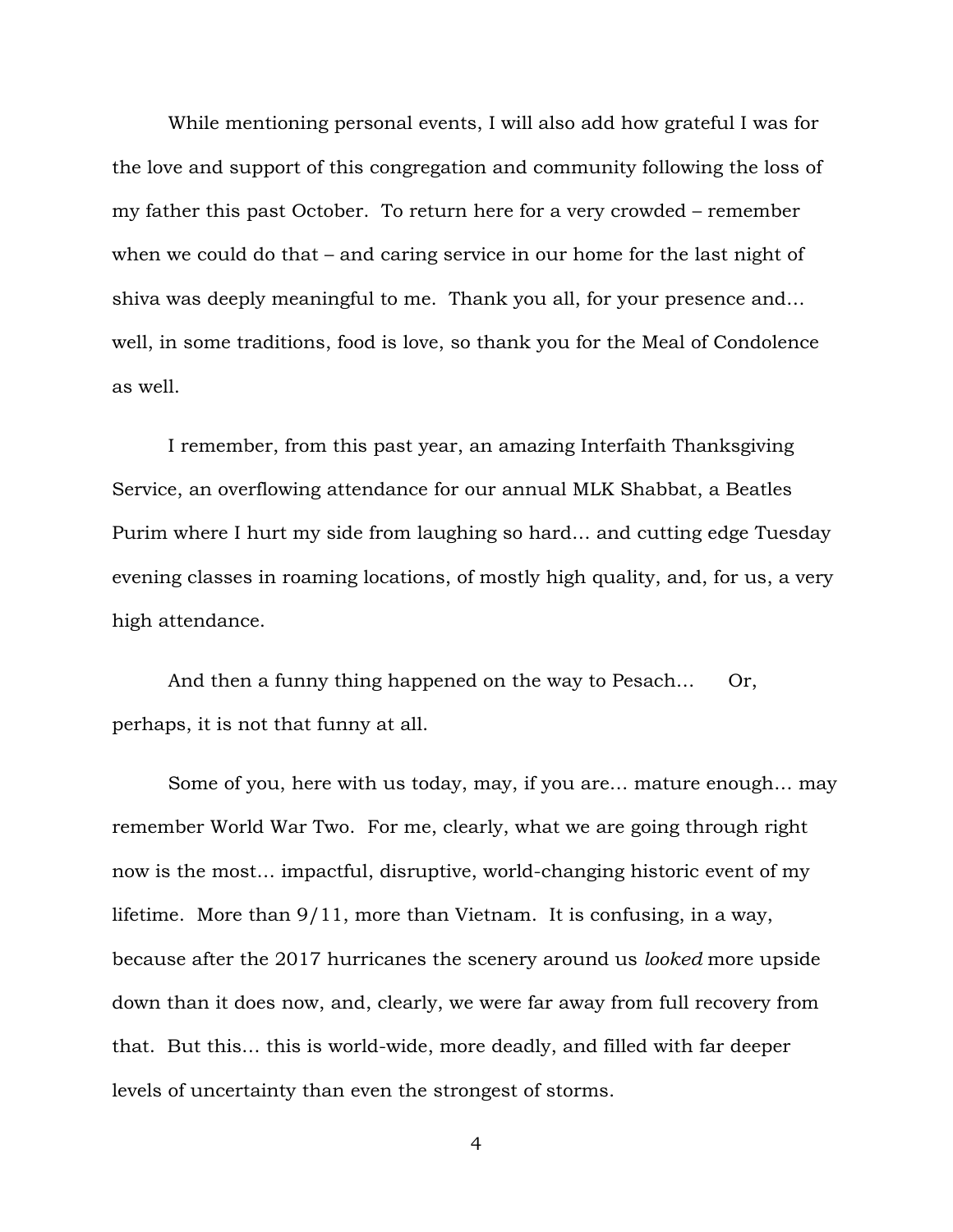While mentioning personal events, I will also add how grateful I was for the love and support of this congregation and community following the loss of my father this past October. To return here for a very crowded – remember when we could do that – and caring service in our home for the last night of shiva was deeply meaningful to me. Thank you all, for your presence and… well, in some traditions, food is love, so thank you for the Meal of Condolence as well.

I remember, from this past year, an amazing Interfaith Thanksgiving Service, an overflowing attendance for our annual MLK Shabbat, a Beatles Purim where I hurt my side from laughing so hard… and cutting edge Tuesday evening classes in roaming locations, of mostly high quality, and, for us, a very high attendance.

And then a funny thing happened on the way to Pesach... Or, perhaps, it is not that funny at all.

Some of you, here with us today, may, if you are… mature enough… may remember World War Two. For me, clearly, what we are going through right now is the most… impactful, disruptive, world-changing historic event of my lifetime. More than 9/11, more than Vietnam. It is confusing, in a way, because after the 2017 hurricanes the scenery around us *looked* more upside down than it does now, and, clearly, we were far away from full recovery from that. But this… this is world-wide, more deadly, and filled with far deeper levels of uncertainty than even the strongest of storms.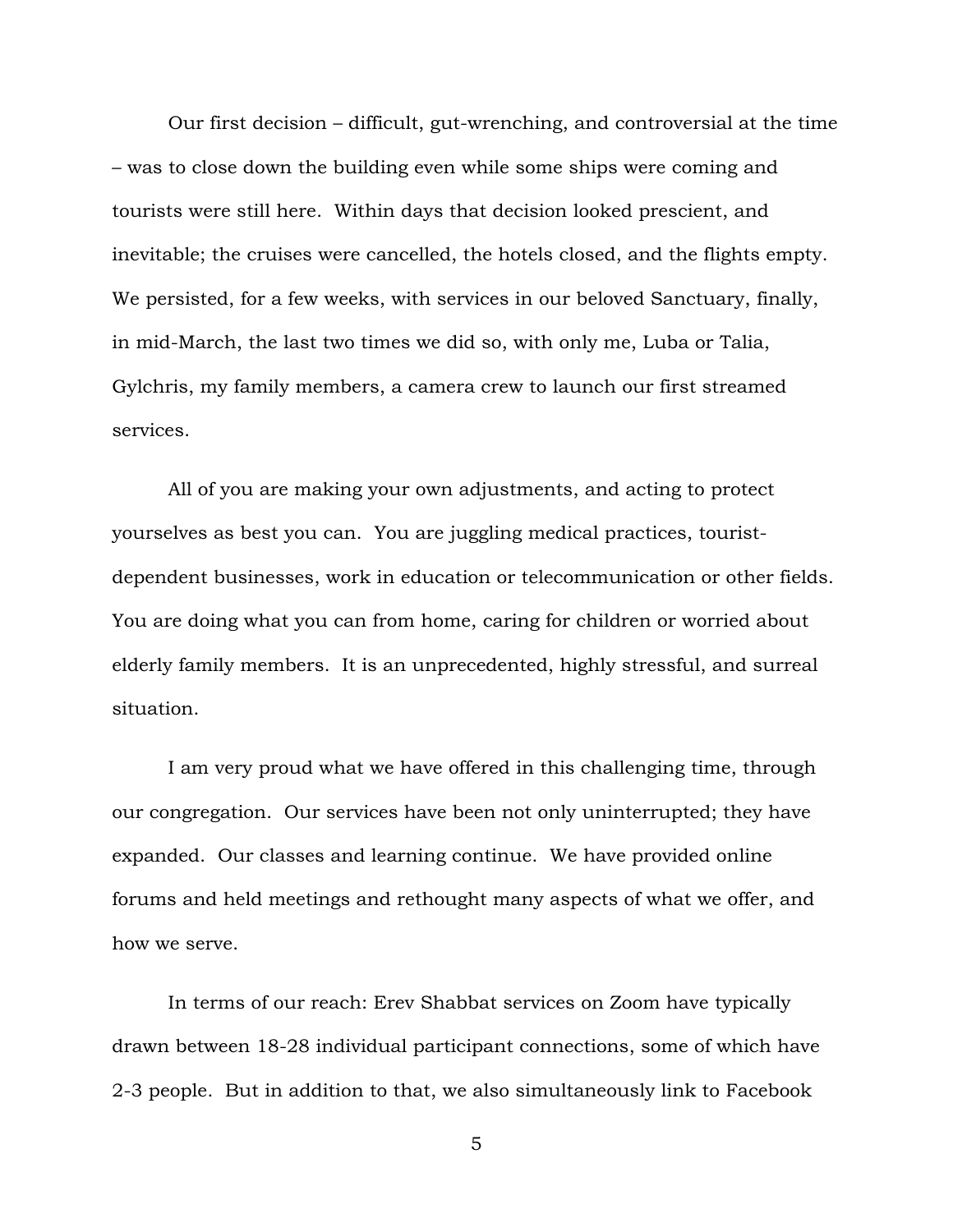Our first decision – difficult, gut-wrenching, and controversial at the time – was to close down the building even while some ships were coming and tourists were still here. Within days that decision looked prescient, and inevitable; the cruises were cancelled, the hotels closed, and the flights empty. We persisted, for a few weeks, with services in our beloved Sanctuary, finally, in mid-March, the last two times we did so, with only me, Luba or Talia, Gylchris, my family members, a camera crew to launch our first streamed services.

All of you are making your own adjustments, and acting to protect yourselves as best you can. You are juggling medical practices, touristdependent businesses, work in education or telecommunication or other fields. You are doing what you can from home, caring for children or worried about elderly family members. It is an unprecedented, highly stressful, and surreal situation.

I am very proud what we have offered in this challenging time, through our congregation. Our services have been not only uninterrupted; they have expanded. Our classes and learning continue. We have provided online forums and held meetings and rethought many aspects of what we offer, and how we serve.

In terms of our reach: Erev Shabbat services on Zoom have typically drawn between 18-28 individual participant connections, some of which have 2-3 people. But in addition to that, we also simultaneously link to Facebook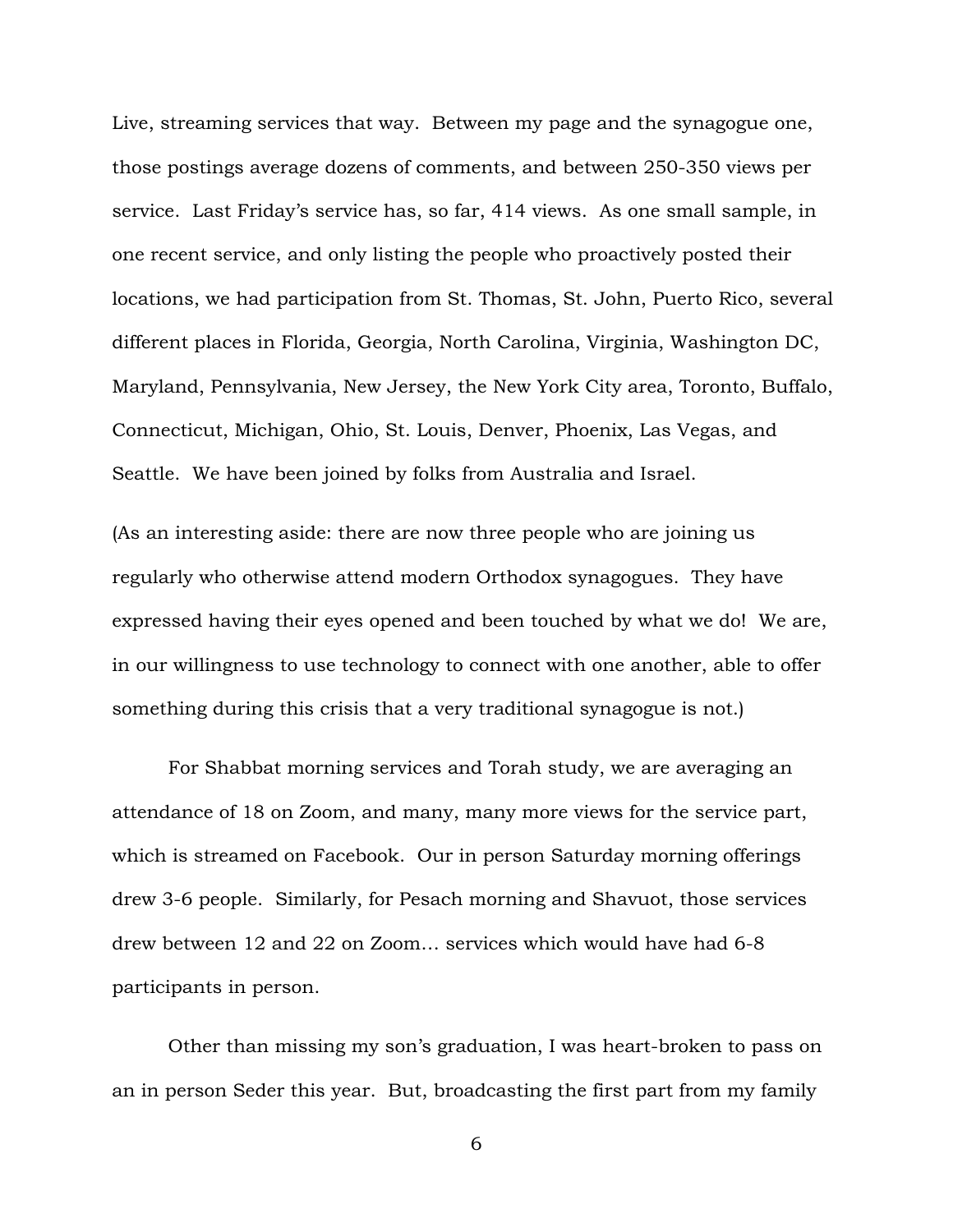Live, streaming services that way. Between my page and the synagogue one, those postings average dozens of comments, and between 250-350 views per service. Last Friday's service has, so far, 414 views. As one small sample, in one recent service, and only listing the people who proactively posted their locations, we had participation from St. Thomas, St. John, Puerto Rico, several different places in Florida, Georgia, North Carolina, Virginia, Washington DC, Maryland, Pennsylvania, New Jersey, the New York City area, Toronto, Buffalo, Connecticut, Michigan, Ohio, St. Louis, Denver, Phoenix, Las Vegas, and Seattle. We have been joined by folks from Australia and Israel.

(As an interesting aside: there are now three people who are joining us regularly who otherwise attend modern Orthodox synagogues. They have expressed having their eyes opened and been touched by what we do! We are, in our willingness to use technology to connect with one another, able to offer something during this crisis that a very traditional synagogue is not.)

For Shabbat morning services and Torah study, we are averaging an attendance of 18 on Zoom, and many, many more views for the service part, which is streamed on Facebook. Our in person Saturday morning offerings drew 3-6 people. Similarly, for Pesach morning and Shavuot, those services drew between 12 and 22 on Zoom… services which would have had 6-8 participants in person.

Other than missing my son's graduation, I was heart-broken to pass on an in person Seder this year. But, broadcasting the first part from my family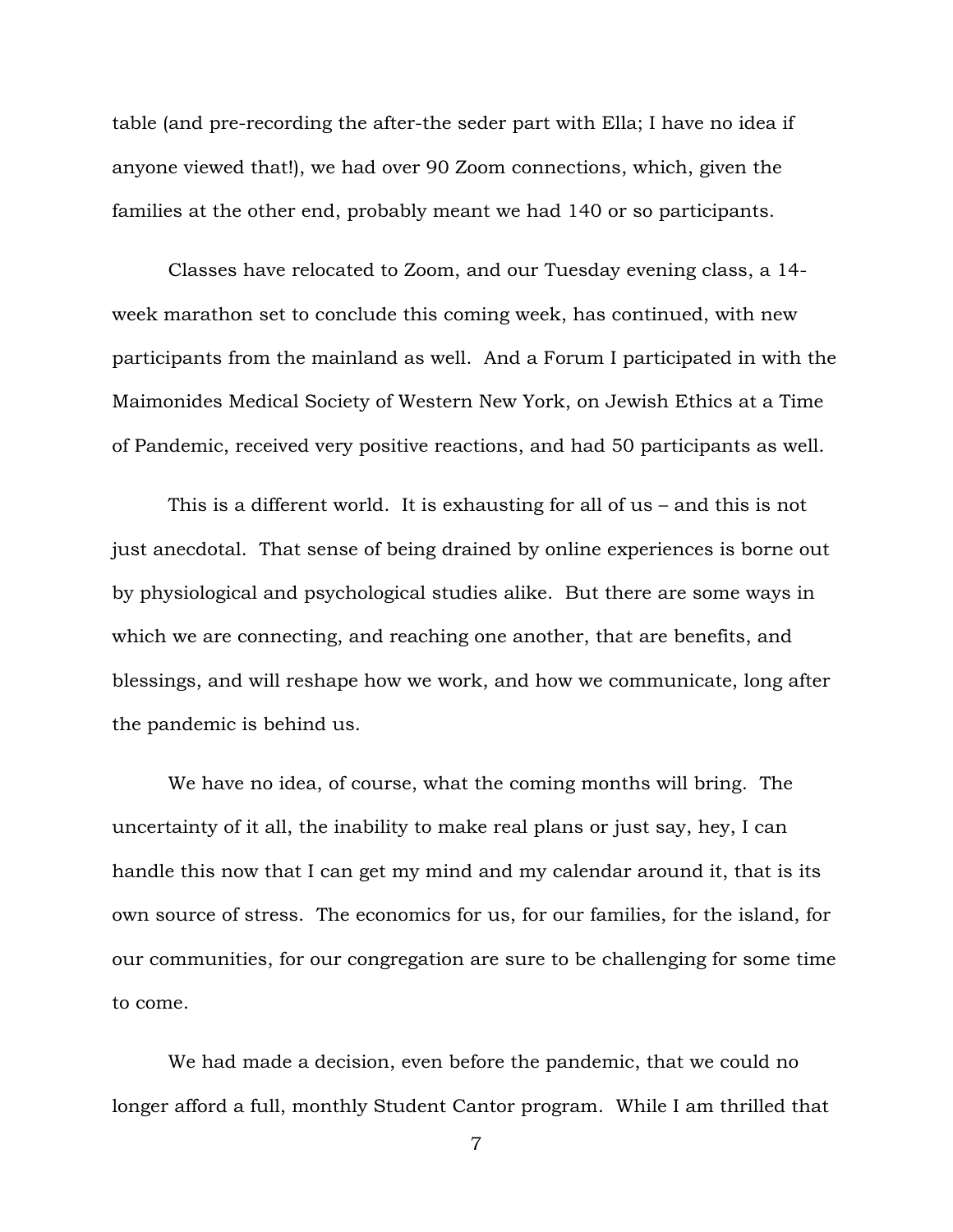table (and pre-recording the after-the seder part with Ella; I have no idea if anyone viewed that!), we had over 90 Zoom connections, which, given the families at the other end, probably meant we had 140 or so participants.

Classes have relocated to Zoom, and our Tuesday evening class, a 14 week marathon set to conclude this coming week, has continued, with new participants from the mainland as well. And a Forum I participated in with the Maimonides Medical Society of Western New York, on Jewish Ethics at a Time of Pandemic, received very positive reactions, and had 50 participants as well.

This is a different world. It is exhausting for all of us – and this is not just anecdotal. That sense of being drained by online experiences is borne out by physiological and psychological studies alike. But there are some ways in which we are connecting, and reaching one another, that are benefits, and blessings, and will reshape how we work, and how we communicate, long after the pandemic is behind us.

We have no idea, of course, what the coming months will bring. The uncertainty of it all, the inability to make real plans or just say, hey, I can handle this now that I can get my mind and my calendar around it, that is its own source of stress. The economics for us, for our families, for the island, for our communities, for our congregation are sure to be challenging for some time to come.

We had made a decision, even before the pandemic, that we could no longer afford a full, monthly Student Cantor program. While I am thrilled that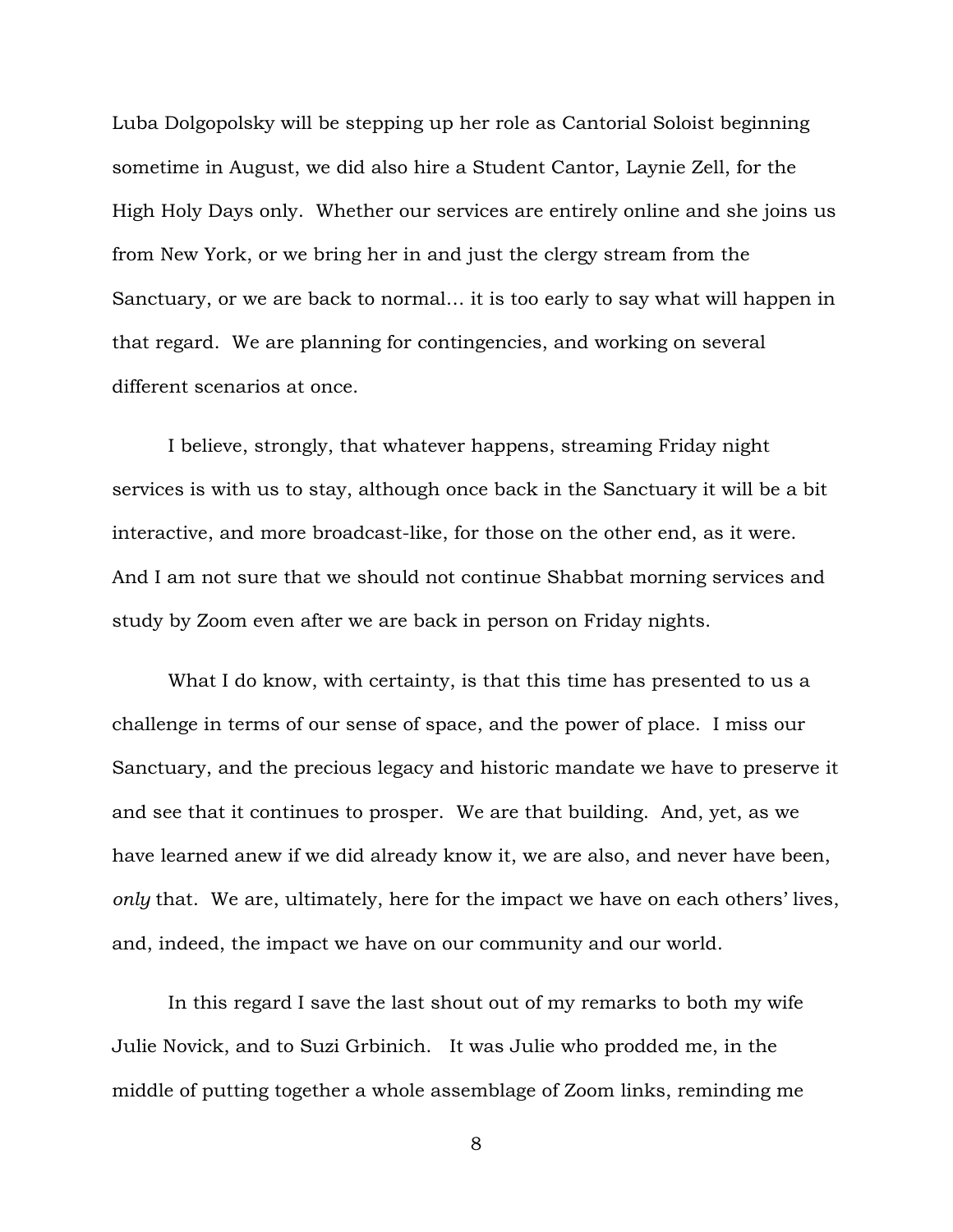Luba Dolgopolsky will be stepping up her role as Cantorial Soloist beginning sometime in August, we did also hire a Student Cantor, Laynie Zell, for the High Holy Days only. Whether our services are entirely online and she joins us from New York, or we bring her in and just the clergy stream from the Sanctuary, or we are back to normal… it is too early to say what will happen in that regard. We are planning for contingencies, and working on several different scenarios at once.

I believe, strongly, that whatever happens, streaming Friday night services is with us to stay, although once back in the Sanctuary it will be a bit interactive, and more broadcast-like, for those on the other end, as it were. And I am not sure that we should not continue Shabbat morning services and study by Zoom even after we are back in person on Friday nights.

What I do know, with certainty, is that this time has presented to us a challenge in terms of our sense of space, and the power of place. I miss our Sanctuary, and the precious legacy and historic mandate we have to preserve it and see that it continues to prosper. We are that building. And, yet, as we have learned anew if we did already know it, we are also, and never have been, *only* that. We are, ultimately, here for the impact we have on each others' lives, and, indeed, the impact we have on our community and our world.

In this regard I save the last shout out of my remarks to both my wife Julie Novick, and to Suzi Grbinich. It was Julie who prodded me, in the middle of putting together a whole assemblage of Zoom links, reminding me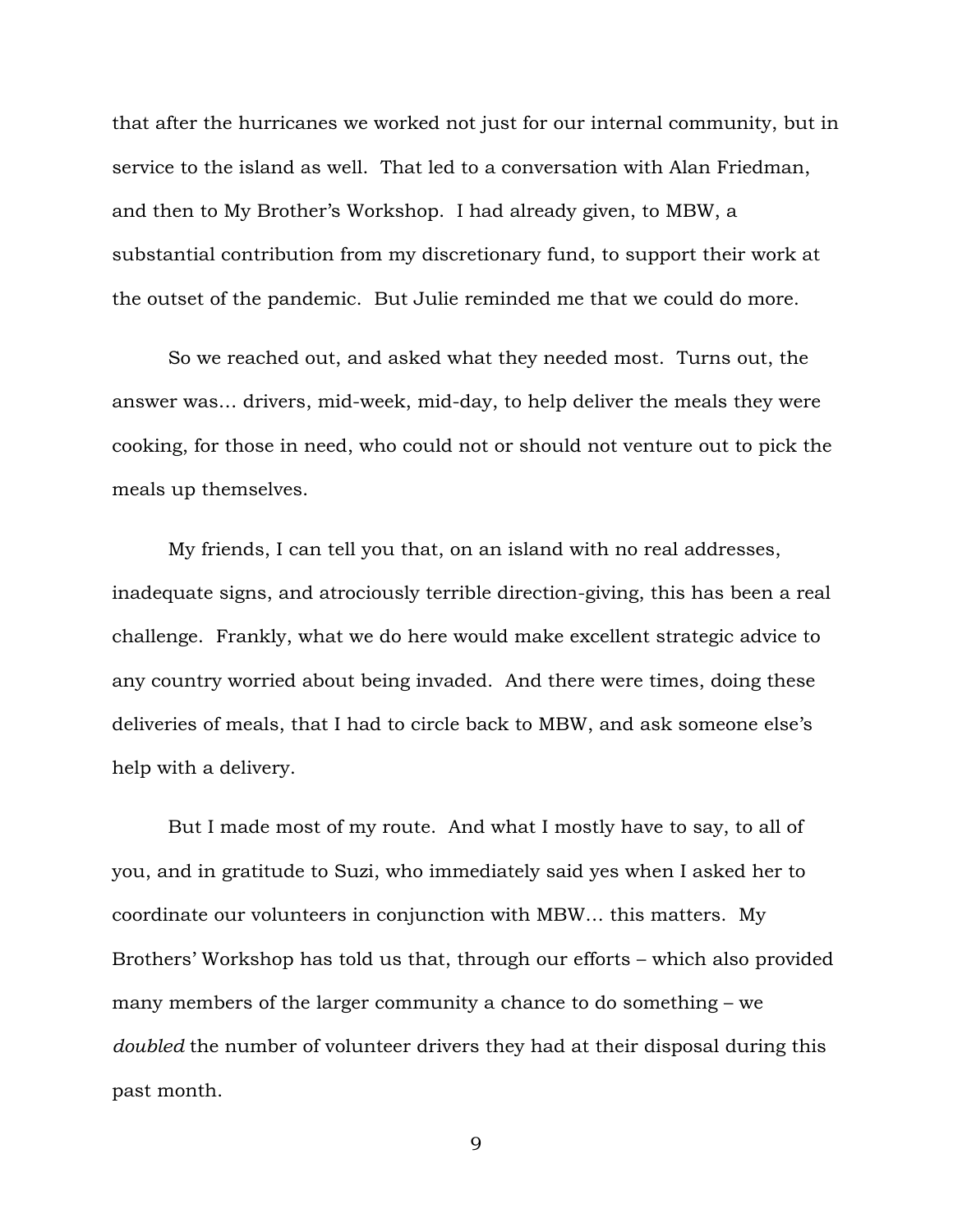that after the hurricanes we worked not just for our internal community, but in service to the island as well. That led to a conversation with Alan Friedman, and then to My Brother's Workshop. I had already given, to MBW, a substantial contribution from my discretionary fund, to support their work at the outset of the pandemic. But Julie reminded me that we could do more.

So we reached out, and asked what they needed most. Turns out, the answer was… drivers, mid-week, mid-day, to help deliver the meals they were cooking, for those in need, who could not or should not venture out to pick the meals up themselves.

My friends, I can tell you that, on an island with no real addresses, inadequate signs, and atrociously terrible direction-giving, this has been a real challenge. Frankly, what we do here would make excellent strategic advice to any country worried about being invaded. And there were times, doing these deliveries of meals, that I had to circle back to MBW, and ask someone else's help with a delivery.

But I made most of my route. And what I mostly have to say, to all of you, and in gratitude to Suzi, who immediately said yes when I asked her to coordinate our volunteers in conjunction with MBW… this matters. My Brothers' Workshop has told us that, through our efforts – which also provided many members of the larger community a chance to do something – we *doubled* the number of volunteer drivers they had at their disposal during this past month.